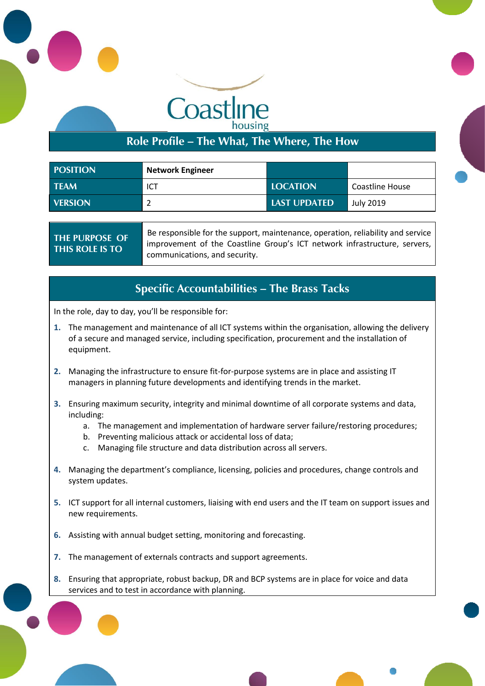

**Role Profile – The What, The Where, The How**

| <b>POSITION</b> | <b>Network Engineer</b> |                     |                 |
|-----------------|-------------------------|---------------------|-----------------|
| <b>TEAM</b>     | ICT                     | <b>LOCATION</b>     | Coastline House |
| <b>VERSION</b>  |                         | <b>LAST UPDATED</b> | July 2019       |

**THE PURPOSE OF THIS ROLE IS TO** Be responsible for the support, maintenance, operation, reliability and service improvement of the Coastline Group's ICT network infrastructure, servers, communications, and security.

### **Specific Accountabilities – The Brass Tacks**

In the role, day to day, you'll be responsible for:

Pool, Redruth Cornwall TR<sub>15</sub> 3RQ

- **1.** The management and maintenance of all ICT systems within the organisation, allowing the delivery of a secure and managed service, including specification, procurement and the installation of equipment.
- **2.** Managing the infrastructure to ensure fit-for-purpose systems are in place and assisting IT managers in planning future developments and identifying trends in the market.
- **3.** Ensuring maximum security, integrity and minimal downtime of all corporate systems and data, including:
	- a. The management and implementation of hardware server failure/restoring procedures;
	- b. Preventing malicious attack or accidental loss of data;
	- c. Managing file structure and data distribution across all servers.
- **4.** Managing the department's compliance, licensing, policies and procedures, change controls and system updates.
- **5.** ICT support for all internal customers, liaising with end users and the IT team on support issues and new requirements.
- **6.** Assisting with annual budget setting, monitoring and forecasting.
- **7.** The management of externals contracts and support agreements.
- **8.** Ensuring that appropriate, robust backup, DR and BCP systems are in place for voice and data services and to test in accordance with planning.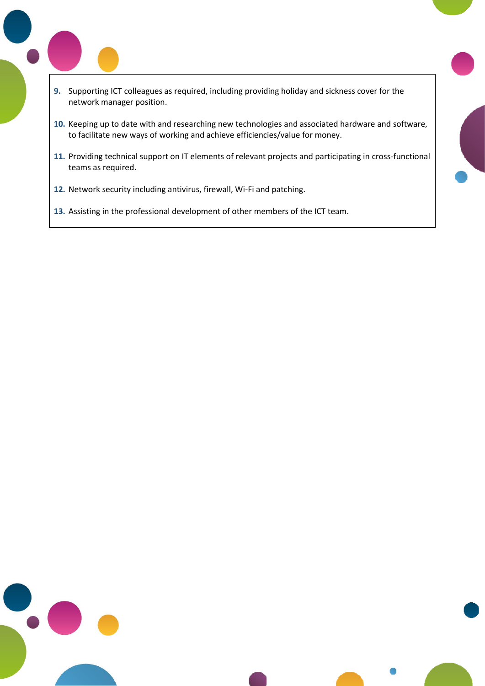- **9.** Supporting ICT colleagues as required, including providing holiday and sickness cover for the network manager position.
- **10.** Keeping up to date with and researching new technologies and associated hardware and software, to facilitate new ways of working and achieve efficiencies/value for money.
- **11.** Providing technical support on IT elements of relevant projects and participating in cross-functional teams as required.
- **12.** Network security including antivirus, firewall, Wi-Fi and patching.

Pool, Redruth Cornwall TR<sub>15</sub> 3RQ

**13.** Assisting in the professional development of other members of the ICT team.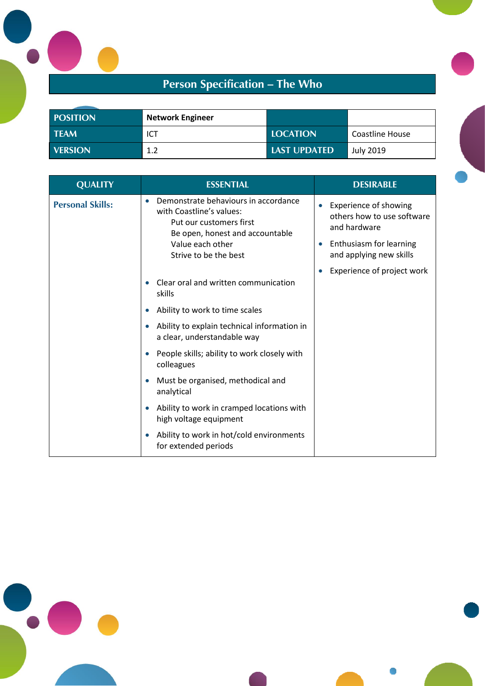# **Person Specification – The Who**

| <b>POSITION</b> | <b>Network Engineer</b> |                     |                  |
|-----------------|-------------------------|---------------------|------------------|
| <b>TEAM</b>     | ICT                     | <b>LOCATION</b>     | Coastline House  |
| <b>VERSION</b>  | 1.2                     | <b>LAST UPDATED</b> | <b>July 2019</b> |

| <b>QUALITY</b>          | <b>ESSENTIAL</b>                                                                                                                            | <b>DESIRABLE</b>                                                    |
|-------------------------|---------------------------------------------------------------------------------------------------------------------------------------------|---------------------------------------------------------------------|
| <b>Personal Skills:</b> | Demonstrate behaviours in accordance<br>$\bullet$<br>with Coastline's values:<br>Put our customers first<br>Be open, honest and accountable | Experience of showing<br>others how to use software<br>and hardware |
|                         | Value each other<br>Strive to be the best                                                                                                   | Enthusiasm for learning<br>and applying new skills                  |
|                         |                                                                                                                                             | Experience of project work                                          |
|                         | Clear oral and written communication<br>skills                                                                                              |                                                                     |
|                         | Ability to work to time scales                                                                                                              |                                                                     |
|                         | Ability to explain technical information in<br>a clear, understandable way                                                                  |                                                                     |
|                         | People skills; ability to work closely with<br>colleagues                                                                                   |                                                                     |
|                         | Must be organised, methodical and<br>analytical                                                                                             |                                                                     |
|                         | Ability to work in cramped locations with<br>high voltage equipment                                                                         |                                                                     |
|                         | Ability to work in hot/cold environments<br>for extended periods                                                                            |                                                                     |



Pool, Redruth Cornwall TR<sub>15</sub> 3RQ

L

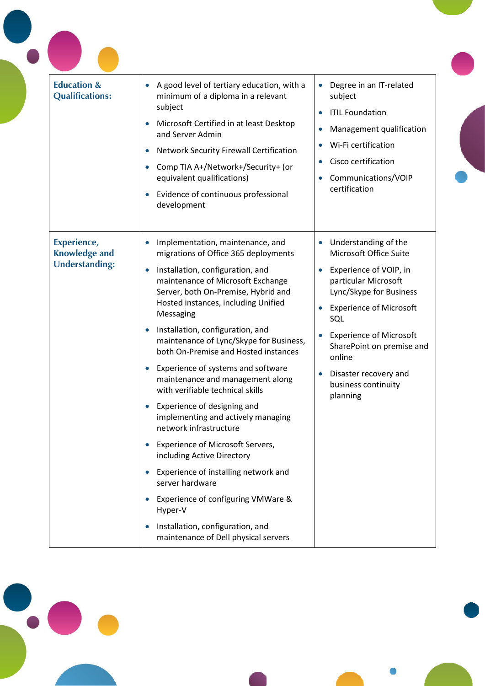| <b>Education &amp;</b><br><b>Qualifications:</b>             | A good level of tertiary education, with a<br>minimum of a diploma in a relevant<br>subject<br>Microsoft Certified in at least Desktop<br>and Server Admin<br><b>Network Security Firewall Certification</b><br>$\bullet$<br>Comp TIA A+/Network+/Security+ (or<br>equivalent qualifications)<br>Evidence of continuous professional<br>development                                                                                                                                                                                                                                                                                                                                                                                                                                                                                                                         | Degree in an IT-related<br>subject<br><b>ITIL Foundation</b><br>$\bullet$<br>Management qualification<br>$\bullet$<br>Wi-Fi certification<br>Cisco certification<br>Communications/VOIP<br>certification                                                                                                                            |
|--------------------------------------------------------------|-----------------------------------------------------------------------------------------------------------------------------------------------------------------------------------------------------------------------------------------------------------------------------------------------------------------------------------------------------------------------------------------------------------------------------------------------------------------------------------------------------------------------------------------------------------------------------------------------------------------------------------------------------------------------------------------------------------------------------------------------------------------------------------------------------------------------------------------------------------------------------|-------------------------------------------------------------------------------------------------------------------------------------------------------------------------------------------------------------------------------------------------------------------------------------------------------------------------------------|
| Experience,<br><b>Knowledge and</b><br><b>Understanding:</b> | Implementation, maintenance, and<br>migrations of Office 365 deployments<br>Installation, configuration, and<br>$\bullet$<br>maintenance of Microsoft Exchange<br>Server, both On-Premise, Hybrid and<br>Hosted instances, including Unified<br>Messaging<br>Installation, configuration, and<br>maintenance of Lync/Skype for Business,<br>both On-Premise and Hosted instances<br>Experience of systems and software<br>$\bullet$<br>maintenance and management along<br>with verifiable technical skills<br>Experience of designing and<br>implementing and actively managing<br>network infrastructure<br><b>Experience of Microsoft Servers,</b><br>including Active Directory<br>Experience of installing network and<br>server hardware<br>Experience of configuring VMWare &<br>Hyper-V<br>Installation, configuration, and<br>maintenance of Dell physical servers | Understanding of the<br>$\bullet$<br>Microsoft Office Suite<br>Experience of VOIP, in<br>$\bullet$<br>particular Microsoft<br>Lync/Skype for Business<br><b>Experience of Microsoft</b><br>SQL<br><b>Experience of Microsoft</b><br>SharePoint on premise and<br>online<br>Disaster recovery and<br>business continuity<br>planning |



Pool, Redruth Cornwall TR<sub>15</sub> 3RQ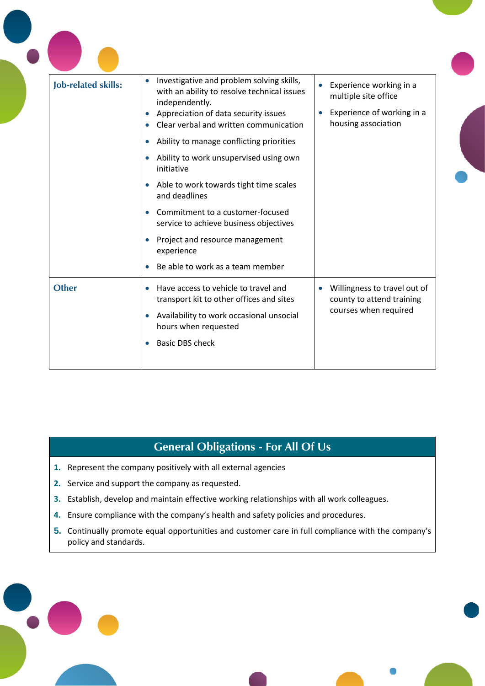| <b>Job-related skills:</b> | Investigative and problem solving skills,<br>$\bullet$<br>with an ability to resolve technical issues<br>independently.<br>Appreciation of data security issues<br>Clear verbal and written communication<br>Ability to manage conflicting priorities<br>Ability to work unsupervised using own<br>initiative<br>Able to work towards tight time scales<br>and deadlines<br>Commitment to a customer-focused<br>service to achieve business objectives<br>Project and resource management<br>experience<br>Be able to work as a team member | Experience working in a<br>multiple site office<br>Experience of working in a<br>housing association |
|----------------------------|---------------------------------------------------------------------------------------------------------------------------------------------------------------------------------------------------------------------------------------------------------------------------------------------------------------------------------------------------------------------------------------------------------------------------------------------------------------------------------------------------------------------------------------------|------------------------------------------------------------------------------------------------------|
| <b>Other</b>               | Have access to vehicle to travel and<br>transport kit to other offices and sites<br>Availability to work occasional unsocial<br>hours when requested<br><b>Basic DBS check</b>                                                                                                                                                                                                                                                                                                                                                              | Willingness to travel out of<br>county to attend training<br>courses when required                   |

## **General Obligations - For All Of Us**

- **1.** Represent the company positively with all external agencies
- **2.** Service and support the company as requested.

 $\bullet$ 

Pool, Redruth Cornwall TR<sub>15</sub> 3RQ

- **3.** Establish, develop and maintain effective working relationships with all work colleagues.
- **4.** Ensure compliance with the company's health and safety policies and procedures.
- **5.** Continually promote equal opportunities and customer care in full compliance with the company's policy and standards.